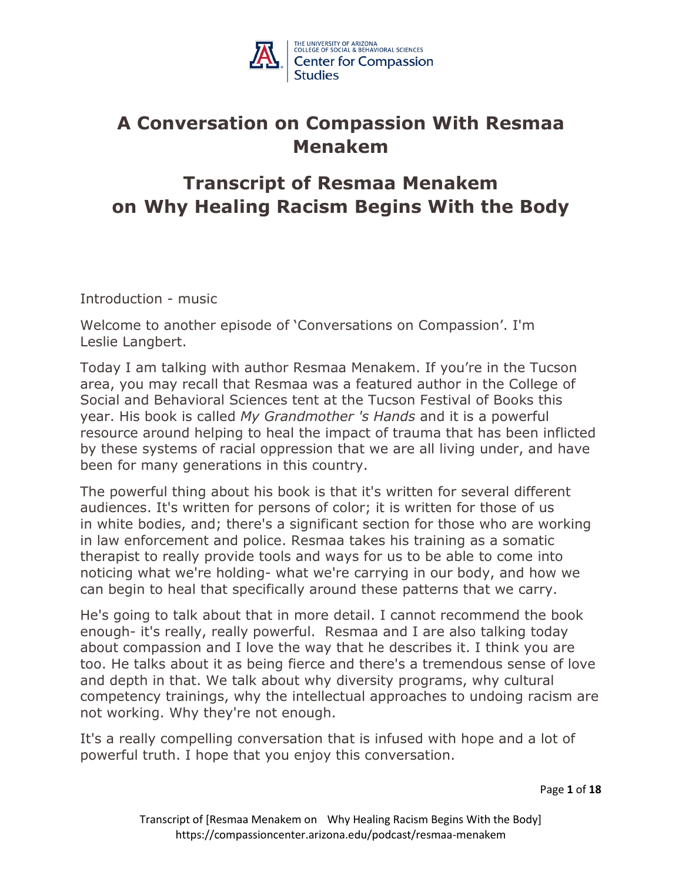

# **A Conversation on Compassion With Resmaa Menakem**

# **Transcript of Resmaa Menakem on Why Healing Racism Begins With the Body**

Introduction - music

Welcome to another episode of 'Conversations on Compassion'. I'm Leslie Langbert.

Today I am talking with author Resmaa Menakem. If you're in the Tucson area, you may recall that Resmaa was a featured author in the College of Social and Behavioral Sciences tent at the Tucson Festival of Books this year. His book is called *My Grandmother 's Hands* and it is a powerful resource around helping to heal the impact of trauma that has been inflicted by these systems of racial oppression that we are all living under, and have been for many generations in this country.

The powerful thing about his book is that it's written for several different audiences. It's written for persons of color; it is written for those of us in white bodies, and; there's a significant section for those who are working in law enforcement and police. Resmaa takes his training as a somatic therapist to really provide tools and ways for us to be able to come into noticing what we're holding- what we're carrying in our body, and how we can begin to heal that specifically around these patterns that we carry.

He's going to talk about that in more detail. I cannot recommend the book enough- it's really, really powerful. Resmaa and I are also talking today about compassion and I love the way that he describes it. I think you are too. He talks about it as being fierce and there's a tremendous sense of love and depth in that. We talk about why diversity programs, why cultural competency trainings, why the intellectual approaches to undoing racism are not working. Why they're not enough.

It's a really compelling conversation that is infused with hope and a lot of powerful truth. I hope that you enjoy this conversation.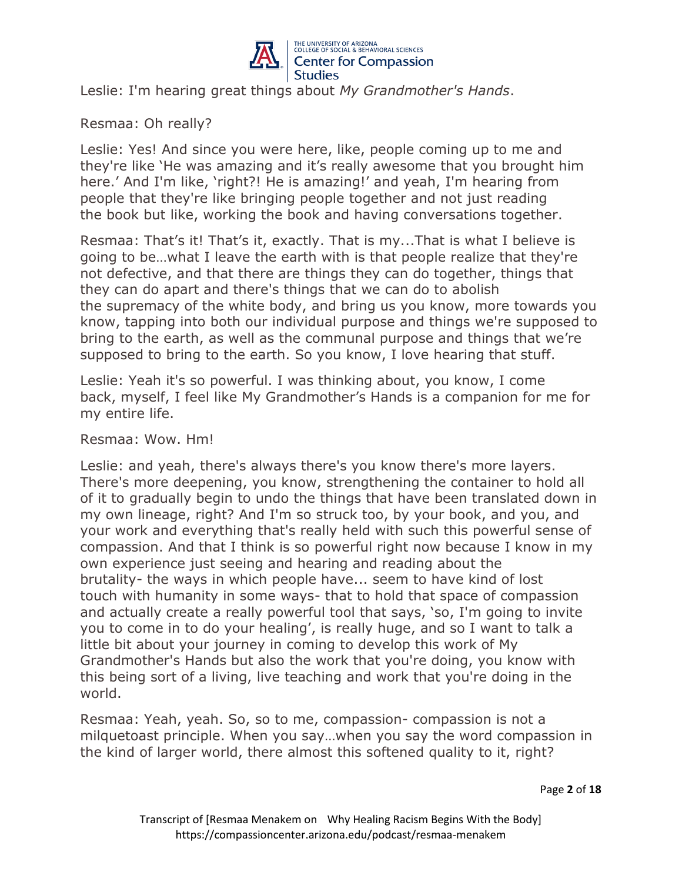

Leslie: I'm hearing great things about *My Grandmother's Hands*.

Resmaa: Oh really?

Leslie: Yes! And since you were here, like, people coming up to me and they're like 'He was amazing and it's really awesome that you brought him here.' And I'm like, 'right?! He is amazing!' and yeah, I'm hearing from people that they're like bringing people together and not just reading the book but like, working the book and having conversations together.

Resmaa: That's it! That's it, exactly. That is my...That is what I believe is going to be…what I leave the earth with is that people realize that they're not defective, and that there are things they can do together, things that they can do apart and there's things that we can do to abolish the supremacy of the white body, and bring us you know, more towards you know, tapping into both our individual purpose and things we're supposed to bring to the earth, as well as the communal purpose and things that we're supposed to bring to the earth. So you know, I love hearing that stuff.

Leslie: Yeah it's so powerful. I was thinking about, you know, I come back, myself, I feel like My Grandmother's Hands is a companion for me for my entire life.

# Resmaa: Wow. Hm!

Leslie: and yeah, there's always there's you know there's more layers. There's more deepening, you know, strengthening the container to hold all of it to gradually begin to undo the things that have been translated down in my own lineage, right? And I'm so struck too, by your book, and you, and your work and everything that's really held with such this powerful sense of compassion. And that I think is so powerful right now because I know in my own experience just seeing and hearing and reading about the brutality- the ways in which people have... seem to have kind of lost touch with humanity in some ways- that to hold that space of compassion and actually create a really powerful tool that says, 'so, I'm going to invite you to come in to do your healing', is really huge, and so I want to talk a little bit about your journey in coming to develop this work of My Grandmother's Hands but also the work that you're doing, you know with this being sort of a living, live teaching and work that you're doing in the world.

Resmaa: Yeah, yeah. So, so to me, compassion- compassion is not a milquetoast principle. When you say…when you say the word compassion in the kind of larger world, there almost this softened quality to it, right?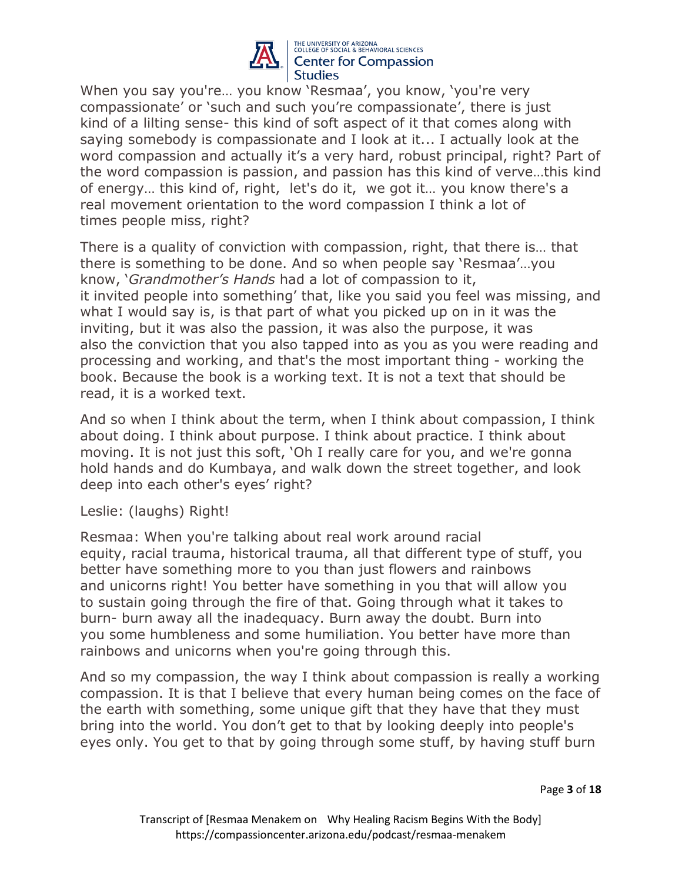

When you say you're… you know 'Resmaa', you know, 'you're very compassionate' or 'such and such you're compassionate', there is just kind of a lilting sense- this kind of soft aspect of it that comes along with saying somebody is compassionate and I look at it... I actually look at the word compassion and actually it's a very hard, robust principal, right? Part of the word compassion is passion, and passion has this kind of verve…this kind of energy… this kind of, right, let's do it, we got it… you know there's a real movement orientation to the word compassion I think a lot of times people miss, right?

There is a quality of conviction with compassion, right, that there is… that there is something to be done. And so when people say 'Resmaa'…you know, '*Grandmother's Hands* had a lot of compassion to it, it invited people into something' that, like you said you feel was missing, and what I would say is, is that part of what you picked up on in it was the inviting, but it was also the passion, it was also the purpose, it was also the conviction that you also tapped into as you as you were reading and processing and working, and that's the most important thing - working the book. Because the book is a working text. It is not a text that should be read, it is a worked text.

And so when I think about the term, when I think about compassion, I think about doing. I think about purpose. I think about practice. I think about moving. It is not just this soft, 'Oh I really care for you, and we're gonna hold hands and do Kumbaya, and walk down the street together, and look deep into each other's eyes' right?

Leslie: (laughs) Right!

Resmaa: When you're talking about real work around racial equity, racial trauma, historical trauma, all that different type of stuff, you better have something more to you than just flowers and rainbows and unicorns right! You better have something in you that will allow you to sustain going through the fire of that. Going through what it takes to burn- burn away all the inadequacy. Burn away the doubt. Burn into you some humbleness and some humiliation. You better have more than rainbows and unicorns when you're going through this.

And so my compassion, the way I think about compassion is really a working compassion. It is that I believe that every human being comes on the face of the earth with something, some unique gift that they have that they must bring into the world. You don't get to that by looking deeply into people's eyes only. You get to that by going through some stuff, by having stuff burn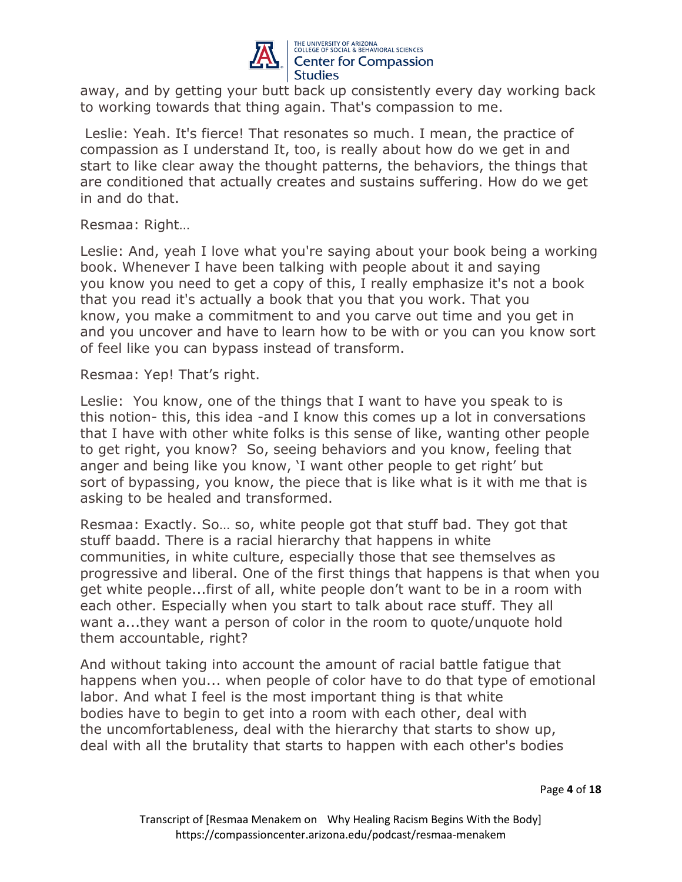

away, and by getting your butt back up consistently every day working back to working towards that thing again. That's compassion to me.

Leslie: Yeah. It's fierce! That resonates so much. I mean, the practice of compassion as I understand It, too, is really about how do we get in and start to like clear away the thought patterns, the behaviors, the things that are conditioned that actually creates and sustains suffering. How do we get in and do that.

Resmaa: Right…

Leslie: And, yeah I love what you're saying about your book being a working book. Whenever I have been talking with people about it and saying you know you need to get a copy of this, I really emphasize it's not a book that you read it's actually a book that you that you work. That you know, you make a commitment to and you carve out time and you get in and you uncover and have to learn how to be with or you can you know sort of feel like you can bypass instead of transform.

Resmaa: Yep! That's right.

Leslie: You know, one of the things that I want to have you speak to is this notion- this, this idea -and I know this comes up a lot in conversations that I have with other white folks is this sense of like, wanting other people to get right, you know? So, seeing behaviors and you know, feeling that anger and being like you know, 'I want other people to get right' but sort of bypassing, you know, the piece that is like what is it with me that is asking to be healed and transformed.

Resmaa: Exactly. So… so, white people got that stuff bad. They got that stuff baadd. There is a racial hierarchy that happens in white communities, in white culture, especially those that see themselves as progressive and liberal. One of the first things that happens is that when you get white people...first of all, white people don't want to be in a room with each other. Especially when you start to talk about race stuff. They all want a...they want a person of color in the room to quote/unquote hold them accountable, right?

And without taking into account the amount of racial battle fatigue that happens when you... when people of color have to do that type of emotional labor. And what I feel is the most important thing is that white bodies have to begin to get into a room with each other, deal with the uncomfortableness, deal with the hierarchy that starts to show up, deal with all the brutality that starts to happen with each other's bodies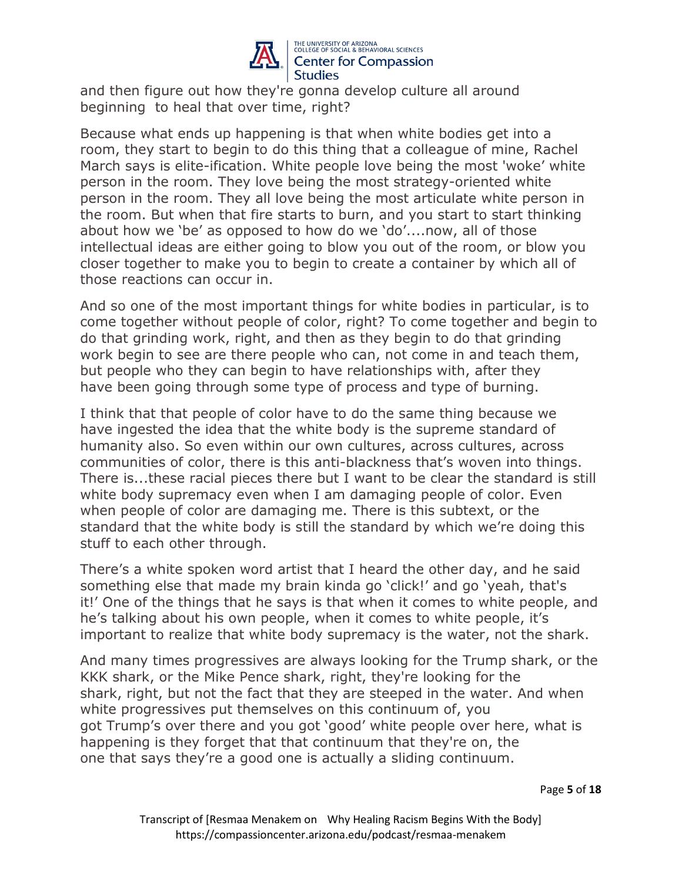

and then figure out how they're gonna develop culture all around beginning to heal that over time, right?

Because what ends up happening is that when white bodies get into a room, they start to begin to do this thing that a colleague of mine, Rachel March says is elite-ification. White people love being the most 'woke' white person in the room. They love being the most strategy-oriented white person in the room. They all love being the most articulate white person in the room. But when that fire starts to burn, and you start to start thinking about how we 'be' as opposed to how do we 'do'....now, all of those intellectual ideas are either going to blow you out of the room, or blow you closer together to make you to begin to create a container by which all of those reactions can occur in.

And so one of the most important things for white bodies in particular, is to come together without people of color, right? To come together and begin to do that grinding work, right, and then as they begin to do that grinding work begin to see are there people who can, not come in and teach them, but people who they can begin to have relationships with, after they have been going through some type of process and type of burning.

I think that that people of color have to do the same thing because we have ingested the idea that the white body is the supreme standard of humanity also. So even within our own cultures, across cultures, across communities of color, there is this anti-blackness that's woven into things. There is...these racial pieces there but I want to be clear the standard is still white body supremacy even when I am damaging people of color. Even when people of color are damaging me. There is this subtext, or the standard that the white body is still the standard by which we're doing this stuff to each other through.

There's a white spoken word artist that I heard the other day, and he said something else that made my brain kinda go 'click!' and go 'yeah, that's it!' One of the things that he says is that when it comes to white people, and he's talking about his own people, when it comes to white people, it's important to realize that white body supremacy is the water, not the shark.

And many times progressives are always looking for the Trump shark, or the KKK shark, or the Mike Pence shark, right, they're looking for the shark, right, but not the fact that they are steeped in the water. And when white progressives put themselves on this continuum of, you got Trump's over there and you got 'good' white people over here, what is happening is they forget that that continuum that they're on, the one that says they're a good one is actually a sliding continuum.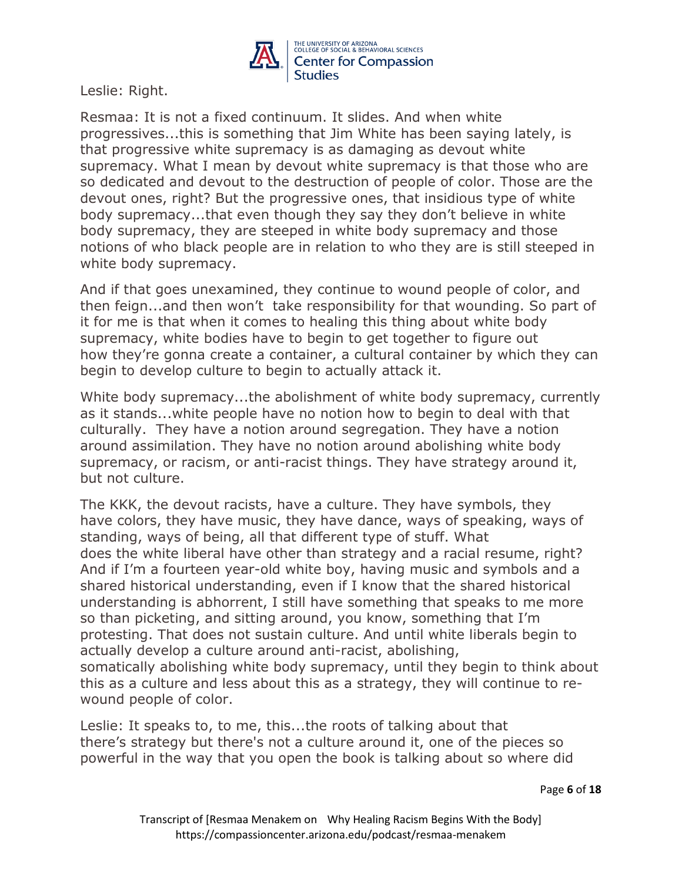

Leslie: Right.

Resmaa: It is not a fixed continuum. It slides. And when white progressives...this is something that Jim White has been saying lately, is that progressive white supremacy is as damaging as devout white supremacy. What I mean by devout white supremacy is that those who are so dedicated and devout to the destruction of people of color. Those are the devout ones, right? But the progressive ones, that insidious type of white body supremacy...that even though they say they don't believe in white body supremacy, they are steeped in white body supremacy and those notions of who black people are in relation to who they are is still steeped in white body supremacy.

And if that goes unexamined, they continue to wound people of color, and then feign...and then won't take responsibility for that wounding. So part of it for me is that when it comes to healing this thing about white body supremacy, white bodies have to begin to get together to figure out how they're gonna create a container, a cultural container by which they can begin to develop culture to begin to actually attack it.

White body supremacy...the abolishment of white body supremacy, currently as it stands...white people have no notion how to begin to deal with that culturally. They have a notion around segregation. They have a notion around assimilation. They have no notion around abolishing white body supremacy, or racism, or anti-racist things. They have strategy around it, but not culture.

The KKK, the devout racists, have a culture. They have symbols, they have colors, they have music, they have dance, ways of speaking, ways of standing, ways of being, all that different type of stuff. What does the white liberal have other than strategy and a racial resume, right? And if I'm a fourteen year-old white boy, having music and symbols and a shared historical understanding, even if I know that the shared historical understanding is abhorrent, I still have something that speaks to me more so than picketing, and sitting around, you know, something that I'm protesting. That does not sustain culture. And until white liberals begin to actually develop a culture around anti-racist, abolishing, somatically abolishing white body supremacy, until they begin to think about this as a culture and less about this as a strategy, they will continue to rewound people of color.

Leslie: It speaks to, to me, this...the roots of talking about that there's strategy but there's not a culture around it, one of the pieces so powerful in the way that you open the book is talking about so where did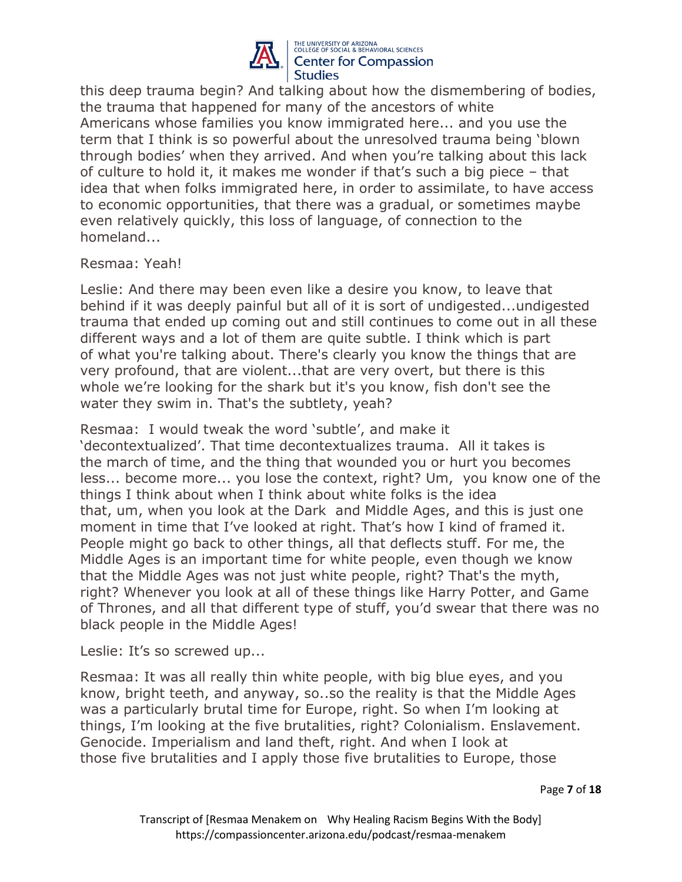

this deep trauma begin? And talking about how the dismembering of bodies, the trauma that happened for many of the ancestors of white Americans whose families you know immigrated here... and you use the term that I think is so powerful about the unresolved trauma being 'blown through bodies' when they arrived. And when you're talking about this lack of culture to hold it, it makes me wonder if that's such a big piece – that idea that when folks immigrated here, in order to assimilate, to have access to economic opportunities, that there was a gradual, or sometimes maybe even relatively quickly, this loss of language, of connection to the homeland...

# Resmaa: Yeah!

Leslie: And there may been even like a desire you know, to leave that behind if it was deeply painful but all of it is sort of undigested...undigested trauma that ended up coming out and still continues to come out in all these different ways and a lot of them are quite subtle. I think which is part of what you're talking about. There's clearly you know the things that are very profound, that are violent...that are very overt, but there is this whole we're looking for the shark but it's you know, fish don't see the water they swim in. That's the subtlety, yeah?

Resmaa: I would tweak the word 'subtle', and make it 'decontextualized'. That time decontextualizes trauma. All it takes is the march of time, and the thing that wounded you or hurt you becomes less... become more... you lose the context, right? Um, you know one of the things I think about when I think about white folks is the idea that, um, when you look at the Dark and Middle Ages, and this is just one moment in time that I've looked at right. That's how I kind of framed it. People might go back to other things, all that deflects stuff. For me, the Middle Ages is an important time for white people, even though we know that the Middle Ages was not just white people, right? That's the myth, right? Whenever you look at all of these things like Harry Potter, and Game of Thrones, and all that different type of stuff, you'd swear that there was no black people in the Middle Ages!

Leslie: It's so screwed up...

Resmaa: It was all really thin white people, with big blue eyes, and you know, bright teeth, and anyway, so..so the reality is that the Middle Ages was a particularly brutal time for Europe, right. So when I'm looking at things, I'm looking at the five brutalities, right? Colonialism. Enslavement. Genocide. Imperialism and land theft, right. And when I look at those five brutalities and I apply those five brutalities to Europe, those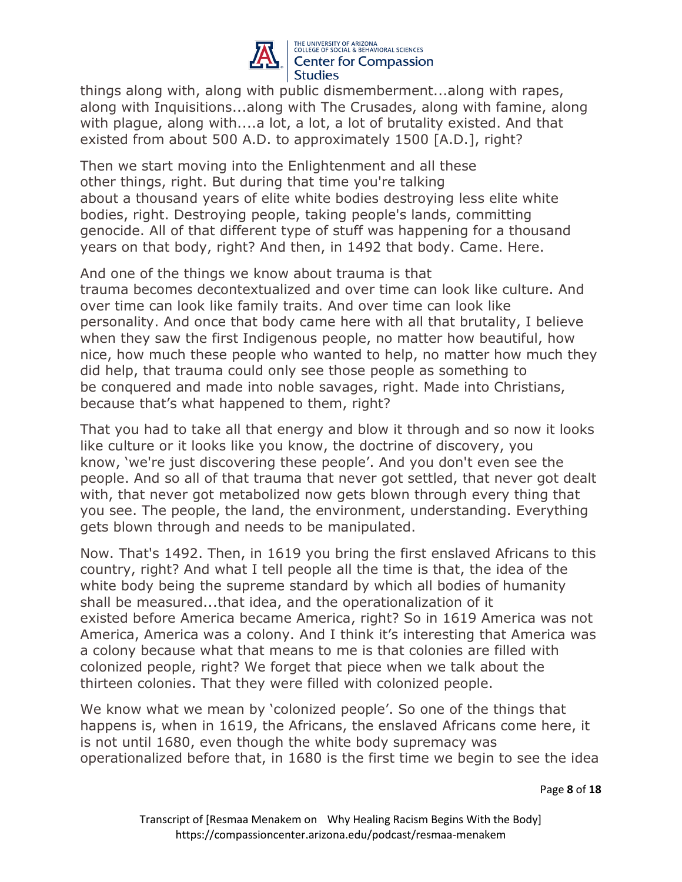

things along with, along with public dismemberment...along with rapes, along with Inquisitions...along with The Crusades, along with famine, along with plague, along with....a lot, a lot, a lot of brutality existed. And that existed from about 500 A.D. to approximately 1500 [A.D.], right?

Then we start moving into the Enlightenment and all these other things, right. But during that time you're talking about a thousand years of elite white bodies destroying less elite white bodies, right. Destroying people, taking people's lands, committing genocide. All of that different type of stuff was happening for a thousand years on that body, right? And then, in 1492 that body. Came. Here.

And one of the things we know about trauma is that trauma becomes decontextualized and over time can look like culture. And over time can look like family traits. And over time can look like personality. And once that body came here with all that brutality, I believe when they saw the first Indigenous people, no matter how beautiful, how nice, how much these people who wanted to help, no matter how much they did help, that trauma could only see those people as something to be conquered and made into noble savages, right. Made into Christians, because that's what happened to them, right?

That you had to take all that energy and blow it through and so now it looks like culture or it looks like you know, the doctrine of discovery, you know, 'we're just discovering these people'. And you don't even see the people. And so all of that trauma that never got settled, that never got dealt with, that never got metabolized now gets blown through every thing that you see. The people, the land, the environment, understanding. Everything gets blown through and needs to be manipulated.

Now. That's 1492. Then, in 1619 you bring the first enslaved Africans to this country, right? And what I tell people all the time is that, the idea of the white body being the supreme standard by which all bodies of humanity shall be measured...that idea, and the operationalization of it existed before America became America, right? So in 1619 America was not America, America was a colony. And I think it's interesting that America was a colony because what that means to me is that colonies are filled with colonized people, right? We forget that piece when we talk about the thirteen colonies. That they were filled with colonized people.

We know what we mean by 'colonized people'. So one of the things that happens is, when in 1619, the Africans, the enslaved Africans come here, it is not until 1680, even though the white body supremacy was operationalized before that, in 1680 is the first time we begin to see the idea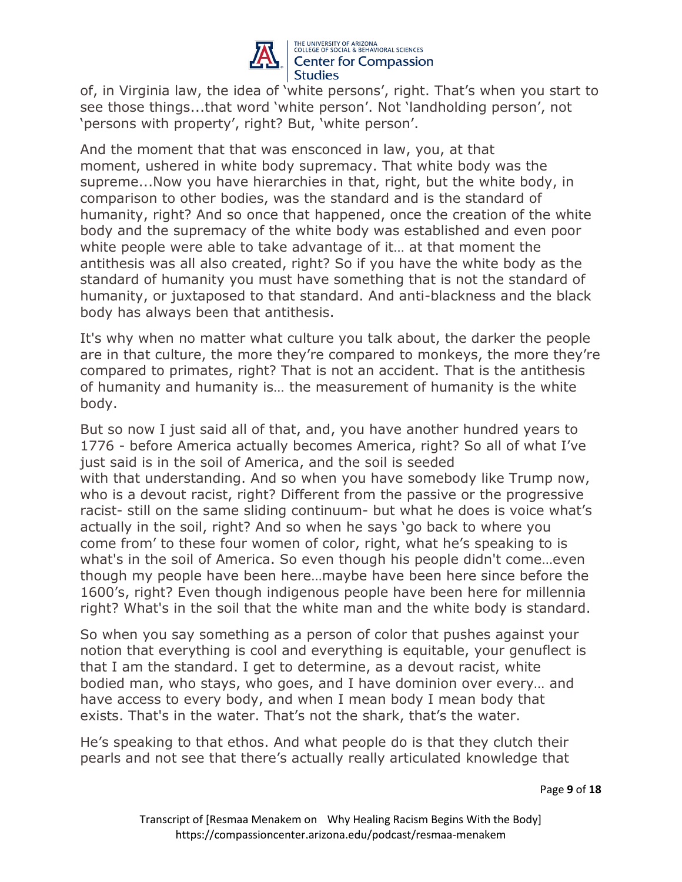

of, in Virginia law, the idea of 'white persons', right. That's when you start to see those things...that word 'white person'. Not 'landholding person', not 'persons with property', right? But, 'white person'.

And the moment that that was ensconced in law, you, at that moment, ushered in white body supremacy. That white body was the supreme...Now you have hierarchies in that, right, but the white body, in comparison to other bodies, was the standard and is the standard of humanity, right? And so once that happened, once the creation of the white body and the supremacy of the white body was established and even poor white people were able to take advantage of it… at that moment the antithesis was all also created, right? So if you have the white body as the standard of humanity you must have something that is not the standard of humanity, or juxtaposed to that standard. And anti-blackness and the black body has always been that antithesis.

It's why when no matter what culture you talk about, the darker the people are in that culture, the more they're compared to monkeys, the more they're compared to primates, right? That is not an accident. That is the antithesis of humanity and humanity is… the measurement of humanity is the white body.

But so now I just said all of that, and, you have another hundred years to 1776 - before America actually becomes America, right? So all of what I've just said is in the soil of America, and the soil is seeded with that understanding. And so when you have somebody like Trump now, who is a devout racist, right? Different from the passive or the progressive racist- still on the same sliding continuum- but what he does is voice what's actually in the soil, right? And so when he says 'go back to where you come from' to these four women of color, right, what he's speaking to is what's in the soil of America. So even though his people didn't come…even though my people have been here…maybe have been here since before the 1600's, right? Even though indigenous people have been here for millennia right? What's in the soil that the white man and the white body is standard.

So when you say something as a person of color that pushes against your notion that everything is cool and everything is equitable, your genuflect is that I am the standard. I get to determine, as a devout racist, white bodied man, who stays, who goes, and I have dominion over every… and have access to every body, and when I mean body I mean body that exists. That's in the water. That's not the shark, that's the water.

He's speaking to that ethos. And what people do is that they clutch their pearls and not see that there's actually really articulated knowledge that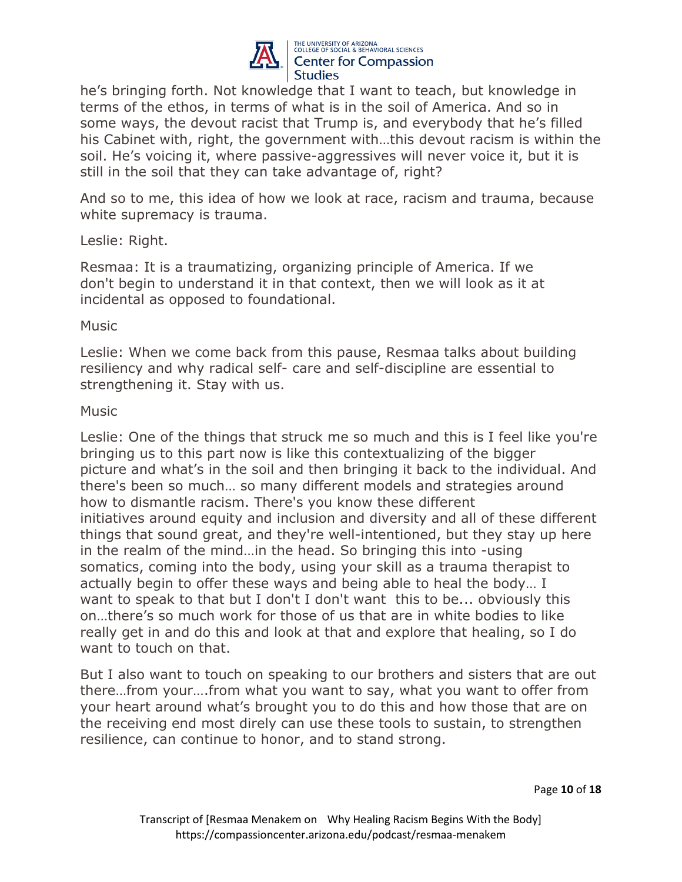

he's bringing forth. Not knowledge that I want to teach, but knowledge in terms of the ethos, in terms of what is in the soil of America. And so in some ways, the devout racist that Trump is, and everybody that he's filled his Cabinet with, right, the government with…this devout racism is within the soil. He's voicing it, where passive-aggressives will never voice it, but it is still in the soil that they can take advantage of, right?

And so to me, this idea of how we look at race, racism and trauma, because white supremacy is trauma.

# Leslie: Right.

Resmaa: It is a traumatizing, organizing principle of America. If we don't begin to understand it in that context, then we will look as it at incidental as opposed to foundational.

# Music

Leslie: When we come back from this pause, Resmaa talks about building resiliency and why radical self- care and self-discipline are essential to strengthening it. Stay with us.

# Music

Leslie: One of the things that struck me so much and this is I feel like you're bringing us to this part now is like this contextualizing of the bigger picture and what's in the soil and then bringing it back to the individual. And there's been so much… so many different models and strategies around how to dismantle racism. There's you know these different initiatives around equity and inclusion and diversity and all of these different things that sound great, and they're well-intentioned, but they stay up here in the realm of the mind…in the head. So bringing this into -using somatics, coming into the body, using your skill as a trauma therapist to actually begin to offer these ways and being able to heal the body… I want to speak to that but I don't I don't want this to be... obviously this on…there's so much work for those of us that are in white bodies to like really get in and do this and look at that and explore that healing, so I do want to touch on that.

But I also want to touch on speaking to our brothers and sisters that are out there…from your….from what you want to say, what you want to offer from your heart around what's brought you to do this and how those that are on the receiving end most direly can use these tools to sustain, to strengthen resilience, can continue to honor, and to stand strong.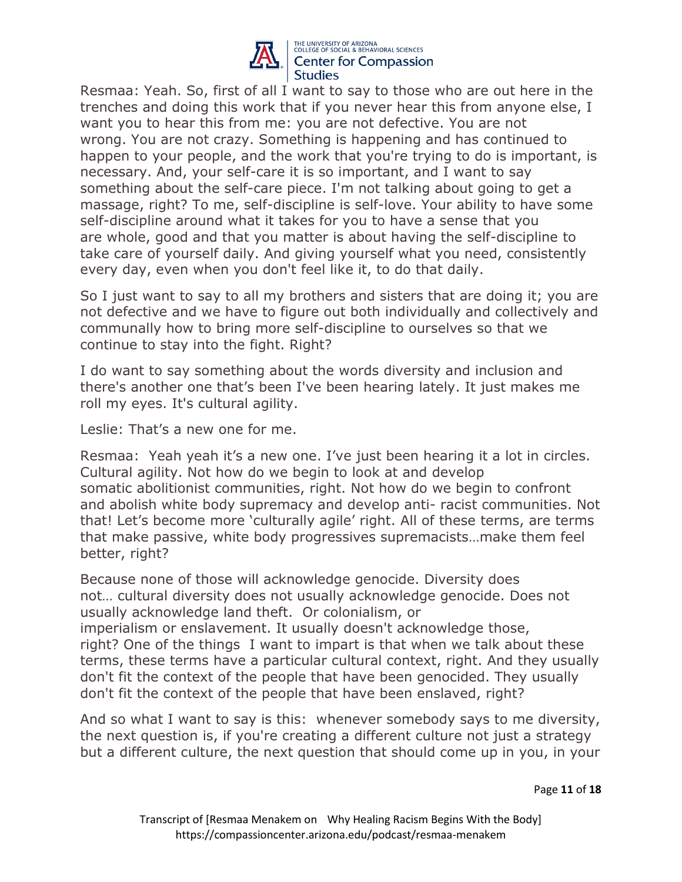

Resmaa: Yeah. So, first of all I want to say to those who are out here in the trenches and doing this work that if you never hear this from anyone else, I want you to hear this from me: you are not defective. You are not wrong. You are not crazy. Something is happening and has continued to happen to your people, and the work that you're trying to do is important, is necessary. And, your self-care it is so important, and I want to say something about the self-care piece. I'm not talking about going to get a massage, right? To me, self-discipline is self-love. Your ability to have some self-discipline around what it takes for you to have a sense that you are whole, good and that you matter is about having the self-discipline to take care of yourself daily. And giving yourself what you need, consistently every day, even when you don't feel like it, to do that daily.

So I just want to say to all my brothers and sisters that are doing it; you are not defective and we have to figure out both individually and collectively and communally how to bring more self-discipline to ourselves so that we continue to stay into the fight. Right?

I do want to say something about the words diversity and inclusion and there's another one that's been I've been hearing lately. It just makes me roll my eyes. It's cultural agility.

Leslie: That's a new one for me.

Resmaa: Yeah yeah it's a new one. I've just been hearing it a lot in circles. Cultural agility. Not how do we begin to look at and develop somatic abolitionist communities, right. Not how do we begin to confront and abolish white body supremacy and develop anti- racist communities. Not that! Let's become more 'culturally agile' right. All of these terms, are terms that make passive, white body progressives supremacists…make them feel better, right?

Because none of those will acknowledge genocide. Diversity does not… cultural diversity does not usually acknowledge genocide. Does not usually acknowledge land theft. Or colonialism, or imperialism or enslavement. It usually doesn't acknowledge those, right? One of the things I want to impart is that when we talk about these terms, these terms have a particular cultural context, right. And they usually don't fit the context of the people that have been genocided. They usually don't fit the context of the people that have been enslaved, right?

And so what I want to say is this: whenever somebody says to me diversity, the next question is, if you're creating a different culture not just a strategy but a different culture, the next question that should come up in you, in your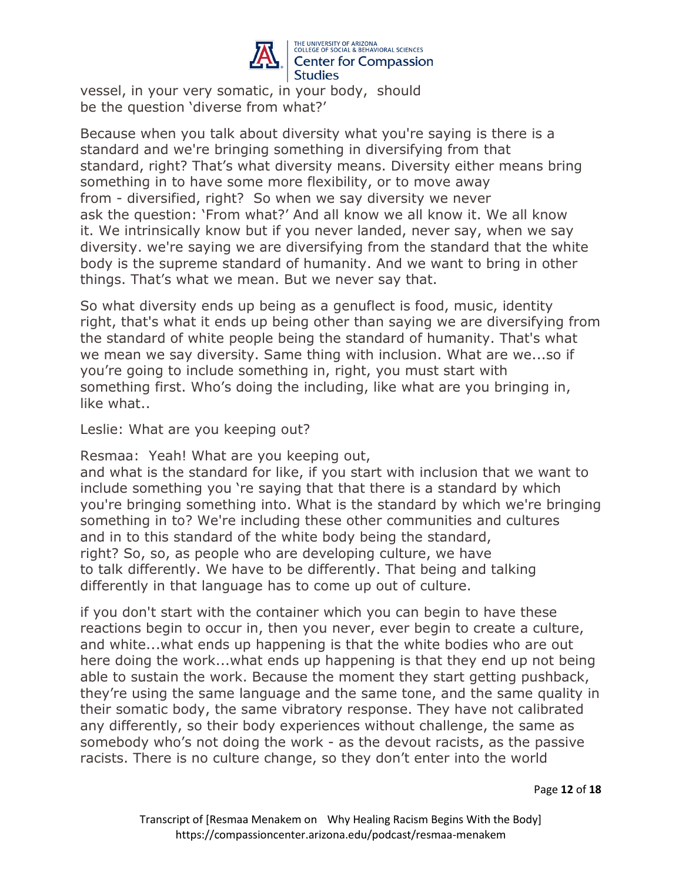

vessel, in your very somatic, in your body, should be the question 'diverse from what?'

Because when you talk about diversity what you're saying is there is a standard and we're bringing something in diversifying from that standard, right? That's what diversity means. Diversity either means bring something in to have some more flexibility, or to move away from - diversified, right? So when we say diversity we never ask the question: 'From what?' And all know we all know it. We all know it. We intrinsically know but if you never landed, never say, when we say diversity. we're saying we are diversifying from the standard that the white body is the supreme standard of humanity. And we want to bring in other things. That's what we mean. But we never say that.

So what diversity ends up being as a genuflect is food, music, identity right, that's what it ends up being other than saying we are diversifying from the standard of white people being the standard of humanity. That's what we mean we say diversity. Same thing with inclusion. What are we...so if you're going to include something in, right, you must start with something first. Who's doing the including, like what are you bringing in, like what..

Leslie: What are you keeping out?

Resmaa: Yeah! What are you keeping out,

and what is the standard for like, if you start with inclusion that we want to include something you 're saying that that there is a standard by which you're bringing something into. What is the standard by which we're bringing something in to? We're including these other communities and cultures and in to this standard of the white body being the standard, right? So, so, as people who are developing culture, we have to talk differently. We have to be differently. That being and talking differently in that language has to come up out of culture.

if you don't start with the container which you can begin to have these reactions begin to occur in, then you never, ever begin to create a culture, and white...what ends up happening is that the white bodies who are out here doing the work...what ends up happening is that they end up not being able to sustain the work. Because the moment they start getting pushback, they're using the same language and the same tone, and the same quality in their somatic body, the same vibratory response. They have not calibrated any differently, so their body experiences without challenge, the same as somebody who's not doing the work - as the devout racists, as the passive racists. There is no culture change, so they don't enter into the world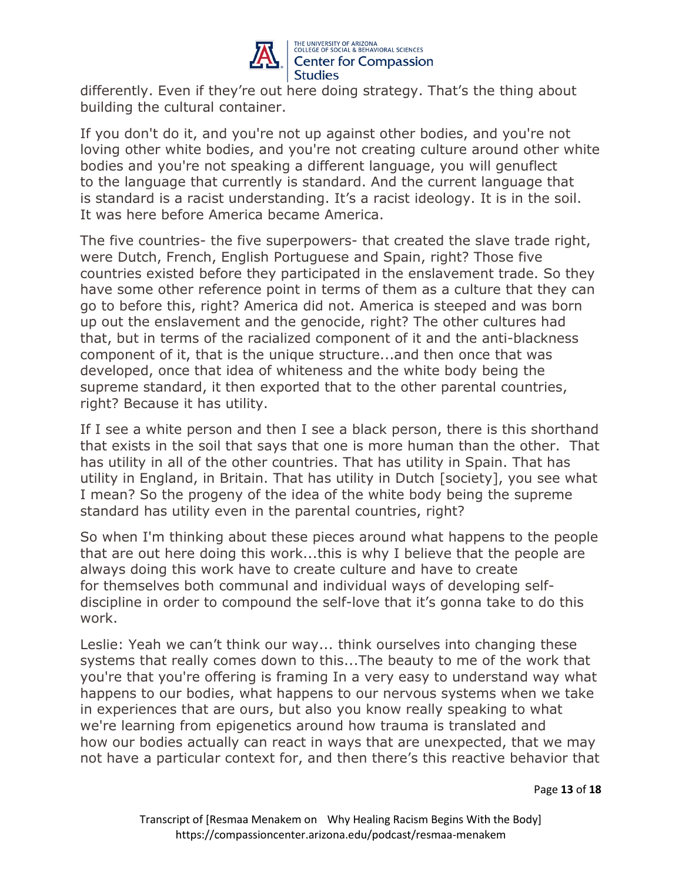

differently. Even if they're out here doing strategy. That's the thing about building the cultural container.

If you don't do it, and you're not up against other bodies, and you're not loving other white bodies, and you're not creating culture around other white bodies and you're not speaking a different language, you will genuflect to the language that currently is standard. And the current language that is standard is a racist understanding. It's a racist ideology. It is in the soil. It was here before America became America.

The five countries- the five superpowers- that created the slave trade right, were Dutch, French, English Portuguese and Spain, right? Those five countries existed before they participated in the enslavement trade. So they have some other reference point in terms of them as a culture that they can go to before this, right? America did not. America is steeped and was born up out the enslavement and the genocide, right? The other cultures had that, but in terms of the racialized component of it and the anti-blackness component of it, that is the unique structure...and then once that was developed, once that idea of whiteness and the white body being the supreme standard, it then exported that to the other parental countries, right? Because it has utility.

If I see a white person and then I see a black person, there is this shorthand that exists in the soil that says that one is more human than the other. That has utility in all of the other countries. That has utility in Spain. That has utility in England, in Britain. That has utility in Dutch [society], you see what I mean? So the progeny of the idea of the white body being the supreme standard has utility even in the parental countries, right?

So when I'm thinking about these pieces around what happens to the people that are out here doing this work...this is why I believe that the people are always doing this work have to create culture and have to create for themselves both communal and individual ways of developing selfdiscipline in order to compound the self-love that it's gonna take to do this work.

Leslie: Yeah we can't think our way... think ourselves into changing these systems that really comes down to this...The beauty to me of the work that you're that you're offering is framing In a very easy to understand way what happens to our bodies, what happens to our nervous systems when we take in experiences that are ours, but also you know really speaking to what we're learning from epigenetics around how trauma is translated and how our bodies actually can react in ways that are unexpected, that we may not have a particular context for, and then there's this reactive behavior that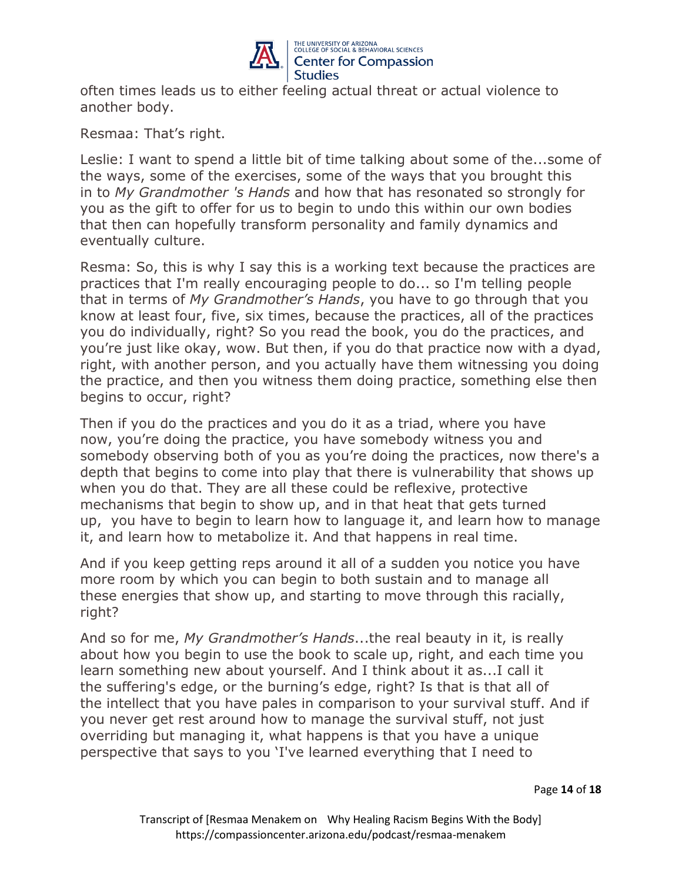

often times leads us to either feeling actual threat or actual violence to another body.

Resmaa: That's right.

Leslie: I want to spend a little bit of time talking about some of the...some of the ways, some of the exercises, some of the ways that you brought this in to *My Grandmother 's Hands* and how that has resonated so strongly for you as the gift to offer for us to begin to undo this within our own bodies that then can hopefully transform personality and family dynamics and eventually culture.

Resma: So, this is why I say this is a working text because the practices are practices that I'm really encouraging people to do... so I'm telling people that in terms of *My Grandmother's Hands*, you have to go through that you know at least four, five, six times, because the practices, all of the practices you do individually, right? So you read the book, you do the practices, and you're just like okay, wow. But then, if you do that practice now with a dyad, right, with another person, and you actually have them witnessing you doing the practice, and then you witness them doing practice, something else then begins to occur, right?

Then if you do the practices and you do it as a triad, where you have now, you're doing the practice, you have somebody witness you and somebody observing both of you as you're doing the practices, now there's a depth that begins to come into play that there is vulnerability that shows up when you do that. They are all these could be reflexive, protective mechanisms that begin to show up, and in that heat that gets turned up, you have to begin to learn how to language it, and learn how to manage it, and learn how to metabolize it. And that happens in real time.

And if you keep getting reps around it all of a sudden you notice you have more room by which you can begin to both sustain and to manage all these energies that show up, and starting to move through this racially, right?

And so for me, *My Grandmother's Hands*...the real beauty in it, is really about how you begin to use the book to scale up, right, and each time you learn something new about yourself. And I think about it as...I call it the suffering's edge, or the burning's edge, right? Is that is that all of the intellect that you have pales in comparison to your survival stuff. And if you never get rest around how to manage the survival stuff, not just overriding but managing it, what happens is that you have a unique perspective that says to you 'I've learned everything that I need to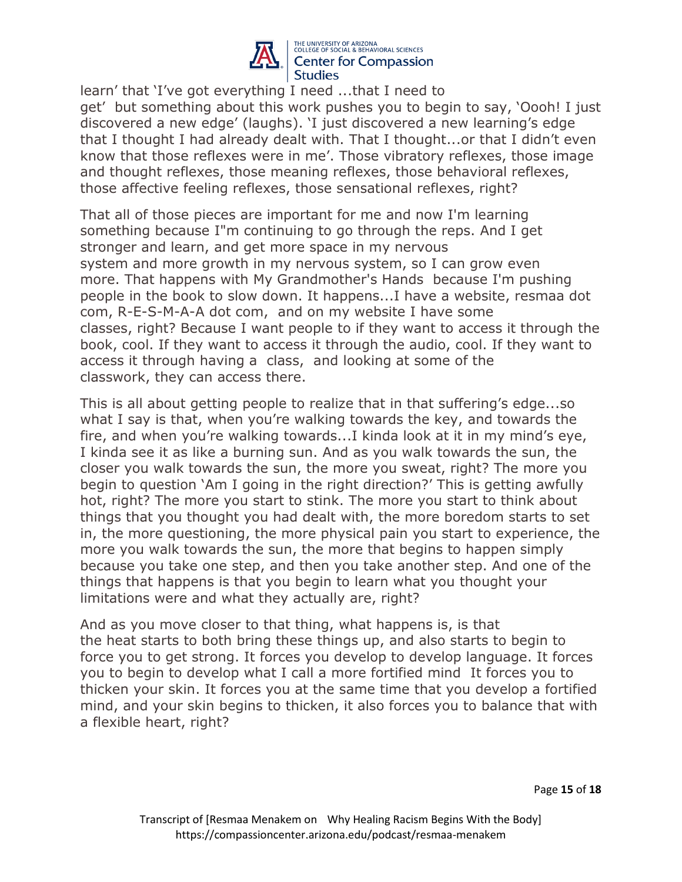

learn' that 'I've got everything I need ...that I need to get' but something about this work pushes you to begin to say, 'Oooh! I just discovered a new edge' (laughs). 'I just discovered a new learning's edge that I thought I had already dealt with. That I thought...or that I didn't even know that those reflexes were in me'. Those vibratory reflexes, those image and thought reflexes, those meaning reflexes, those behavioral reflexes, those affective feeling reflexes, those sensational reflexes, right?

That all of those pieces are important for me and now I'm learning something because I"m continuing to go through the reps. And I get stronger and learn, and get more space in my nervous system and more growth in my nervous system, so I can grow even more. That happens with My Grandmother's Hands because I'm pushing people in the book to slow down. It happens...I have a website, resmaa dot com, R-E-S-M-A-A dot com, and on my website I have some classes, right? Because I want people to if they want to access it through the book, cool. If they want to access it through the audio, cool. If they want to access it through having a class, and looking at some of the classwork, they can access there.

This is all about getting people to realize that in that suffering's edge...so what I say is that, when you're walking towards the key, and towards the fire, and when you're walking towards...I kinda look at it in my mind's eye, I kinda see it as like a burning sun. And as you walk towards the sun, the closer you walk towards the sun, the more you sweat, right? The more you begin to question 'Am I going in the right direction?' This is getting awfully hot, right? The more you start to stink. The more you start to think about things that you thought you had dealt with, the more boredom starts to set in, the more questioning, the more physical pain you start to experience, the more you walk towards the sun, the more that begins to happen simply because you take one step, and then you take another step. And one of the things that happens is that you begin to learn what you thought your limitations were and what they actually are, right?

And as you move closer to that thing, what happens is, is that the heat starts to both bring these things up, and also starts to begin to force you to get strong. It forces you develop to develop language. It forces you to begin to develop what I call a more fortified mind It forces you to thicken your skin. It forces you at the same time that you develop a fortified mind, and your skin begins to thicken, it also forces you to balance that with a flexible heart, right?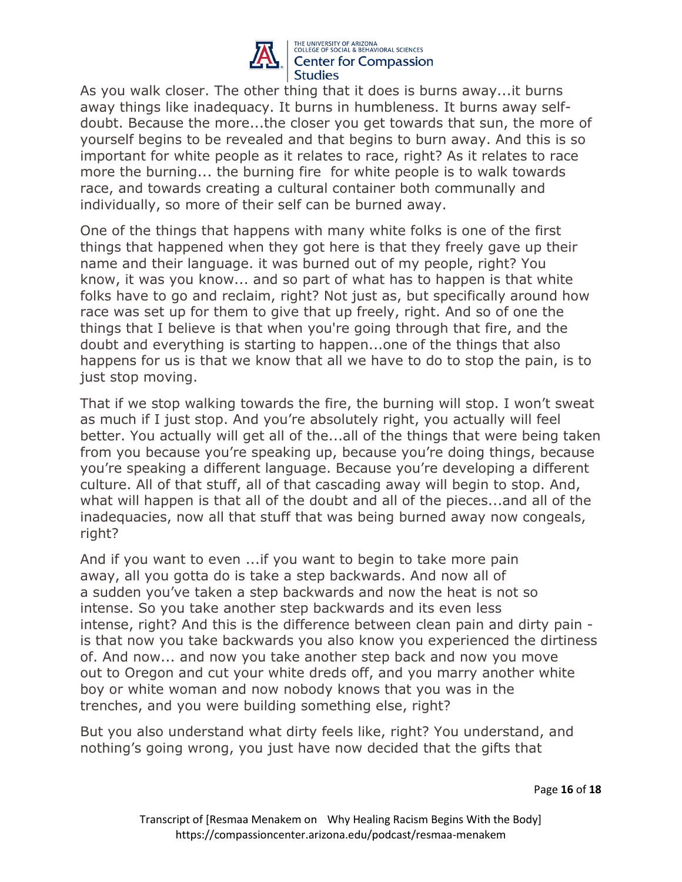

As you walk closer. The other thing that it does is burns away...it burns away things like inadequacy. It burns in humbleness. It burns away selfdoubt. Because the more...the closer you get towards that sun, the more of yourself begins to be revealed and that begins to burn away. And this is so important for white people as it relates to race, right? As it relates to race more the burning... the burning fire for white people is to walk towards race, and towards creating a cultural container both communally and individually, so more of their self can be burned away.

One of the things that happens with many white folks is one of the first things that happened when they got here is that they freely gave up their name and their language. it was burned out of my people, right? You know, it was you know... and so part of what has to happen is that white folks have to go and reclaim, right? Not just as, but specifically around how race was set up for them to give that up freely, right. And so of one the things that I believe is that when you're going through that fire, and the doubt and everything is starting to happen...one of the things that also happens for us is that we know that all we have to do to stop the pain, is to just stop moving.

That if we stop walking towards the fire, the burning will stop. I won't sweat as much if I just stop. And you're absolutely right, you actually will feel better. You actually will get all of the...all of the things that were being taken from you because you're speaking up, because you're doing things, because you're speaking a different language. Because you're developing a different culture. All of that stuff, all of that cascading away will begin to stop. And, what will happen is that all of the doubt and all of the pieces...and all of the inadequacies, now all that stuff that was being burned away now congeals, right?

And if you want to even ...if you want to begin to take more pain away, all you gotta do is take a step backwards. And now all of a sudden you've taken a step backwards and now the heat is not so intense. So you take another step backwards and its even less intense, right? And this is the difference between clean pain and dirty pain is that now you take backwards you also know you experienced the dirtiness of. And now... and now you take another step back and now you move out to Oregon and cut your white dreds off, and you marry another white boy or white woman and now nobody knows that you was in the trenches, and you were building something else, right?

But you also understand what dirty feels like, right? You understand, and nothing's going wrong, you just have now decided that the gifts that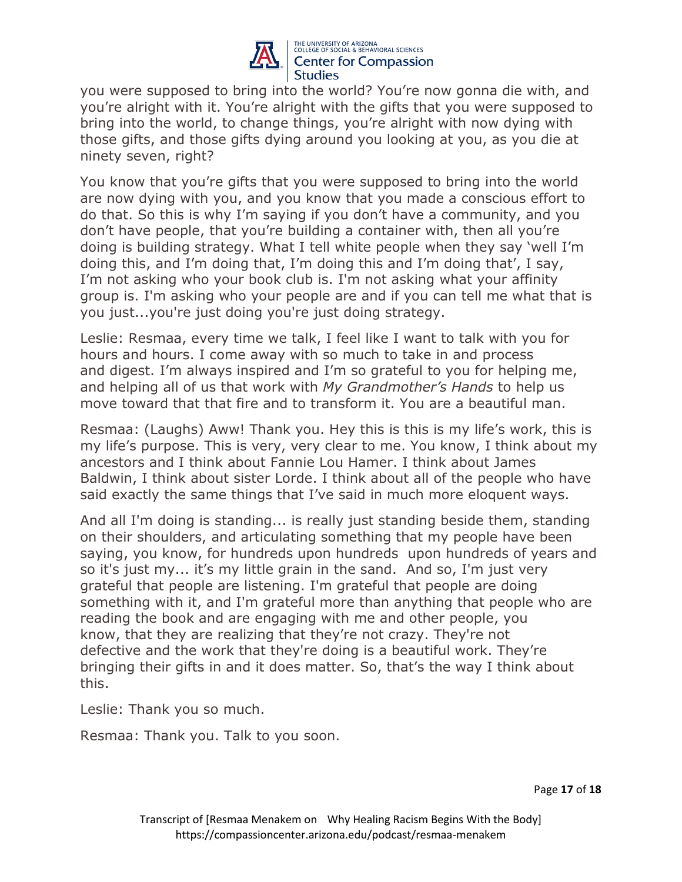

you were supposed to bring into the world? You're now gonna die with, and you're alright with it. You're alright with the gifts that you were supposed to bring into the world, to change things, you're alright with now dying with those gifts, and those gifts dying around you looking at you, as you die at ninety seven, right?

You know that you're gifts that you were supposed to bring into the world are now dying with you, and you know that you made a conscious effort to do that. So this is why I'm saying if you don't have a community, and you don't have people, that you're building a container with, then all you're doing is building strategy. What I tell white people when they say 'well I'm doing this, and I'm doing that, I'm doing this and I'm doing that', I say, I'm not asking who your book club is. I'm not asking what your affinity group is. I'm asking who your people are and if you can tell me what that is you just...you're just doing you're just doing strategy.

Leslie: Resmaa, every time we talk, I feel like I want to talk with you for hours and hours. I come away with so much to take in and process and digest. I'm always inspired and I'm so grateful to you for helping me, and helping all of us that work with *My Grandmother's Hands* to help us move toward that that fire and to transform it. You are a beautiful man.

Resmaa: (Laughs) Aww! Thank you. Hey this is this is my life's work, this is my life's purpose. This is very, very clear to me. You know, I think about my ancestors and I think about Fannie Lou Hamer. I think about James Baldwin, I think about sister Lorde. I think about all of the people who have said exactly the same things that I've said in much more eloquent ways.

And all I'm doing is standing... is really just standing beside them, standing on their shoulders, and articulating something that my people have been saying, you know, for hundreds upon hundreds upon hundreds of years and so it's just my... it's my little grain in the sand. And so, I'm just very grateful that people are listening. I'm grateful that people are doing something with it, and I'm grateful more than anything that people who are reading the book and are engaging with me and other people, you know, that they are realizing that they're not crazy. They're not defective and the work that they're doing is a beautiful work. They're bringing their gifts in and it does matter. So, that's the way I think about this.

Leslie: Thank you so much.

Resmaa: Thank you. Talk to you soon.